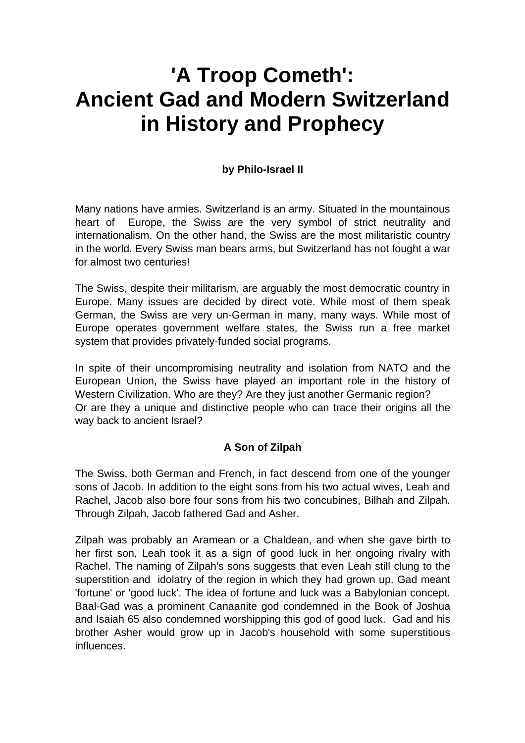# **'A Troop Cometh': Ancient Gad and Modern Switzerland in History and Prophecy**

#### **by Philo-Israel II**

Many nations have armies. Switzerland is an army. Situated in the mountainous heart of Europe, the Swiss are the very symbol of strict neutrality and internationalism. On the other hand, the Swiss are the most militaristic country in the world. Every Swiss man bears arms, but Switzerland has not fought a war for almost two centuries!

The Swiss, despite their militarism, are arguably the most democratic country in Europe. Many issues are decided by direct vote. While most of them speak German, the Swiss are very un-German in many, many ways. While most of Europe operates government welfare states, the Swiss run a free market system that provides privately-funded social programs.

In spite of their uncompromising neutrality and isolation from NATO and the European Union, the Swiss have played an important role in the history of Western Civilization. Who are they? Are they just another Germanic region? Or are they a unique and distinctive people who can trace their origins all the way back to ancient Israel?

#### **A Son of Zilpah**

The Swiss, both German and French, in fact descend from one of the younger sons of Jacob. In addition to the eight sons from his two actual wives, Leah and Rachel, Jacob also bore four sons from his two concubines, Bilhah and Zilpah. Through Zilpah, Jacob fathered Gad and Asher.

Zilpah was probably an Aramean or a Chaldean, and when she gave birth to her first son, Leah took it as a sign of good luck in her ongoing rivalry with Rachel. The naming of Zilpah's sons suggests that even Leah still clung to the superstition and idolatry of the region in which they had grown up. Gad meant 'fortune' or 'good luck'. The idea of fortune and luck was a Babylonian concept. Baal-Gad was a prominent Canaanite god condemned in the Book of Joshua and Isaiah 65 also condemned worshipping this god of good luck. Gad and his brother Asher would grow up in Jacob's household with some superstitious influences.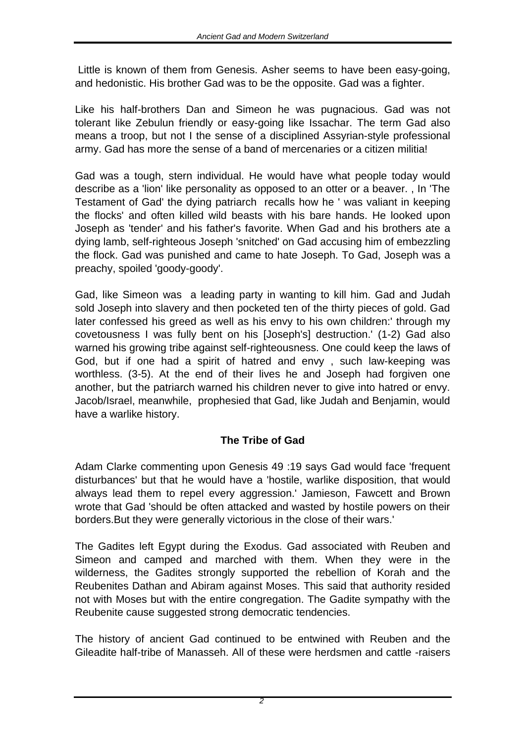Little is known of them from Genesis. Asher seems to have been easy-going, and hedonistic. His brother Gad was to be the opposite. Gad was a fighter.

Like his half-brothers Dan and Simeon he was pugnacious. Gad was not tolerant like Zebulun friendly or easy-going like Issachar. The term Gad also means a troop, but not I the sense of a disciplined Assyrian-style professional army. Gad has more the sense of a band of mercenaries or a citizen militia!

Gad was a tough, stern individual. He would have what people today would describe as a 'lion' like personality as opposed to an otter or a beaver. , In 'The Testament of Gad' the dying patriarch recalls how he ' was valiant in keeping the flocks' and often killed wild beasts with his bare hands. He looked upon Joseph as 'tender' and his father's favorite. When Gad and his brothers ate a dying lamb, self-righteous Joseph 'snitched' on Gad accusing him of embezzling the flock. Gad was punished and came to hate Joseph. To Gad, Joseph was a preachy, spoiled 'goody-goody'.

Gad, like Simeon was a leading party in wanting to kill him. Gad and Judah sold Joseph into slavery and then pocketed ten of the thirty pieces of gold. Gad later confessed his greed as well as his envy to his own children:' through my covetousness I was fully bent on his [Joseph's] destruction.' (1-2) Gad also warned his growing tribe against self-righteousness. One could keep the laws of God, but if one had a spirit of hatred and envy , such law-keeping was worthless. (3-5). At the end of their lives he and Joseph had forgiven one another, but the patriarch warned his children never to give into hatred or envy. Jacob/Israel, meanwhile, prophesied that Gad, like Judah and Benjamin, would have a warlike history.

## **The Tribe of Gad**

Adam Clarke commenting upon Genesis 49 :19 says Gad would face 'frequent disturbances' but that he would have a 'hostile, warlike disposition, that would always lead them to repel every aggression.' Jamieson, Fawcett and Brown wrote that Gad 'should be often attacked and wasted by hostile powers on their borders.But they were generally victorious in the close of their wars.'

The Gadites left Egypt during the Exodus. Gad associated with Reuben and Simeon and camped and marched with them. When they were in the wilderness, the Gadites strongly supported the rebellion of Korah and the Reubenites Dathan and Abiram against Moses. This said that authority resided not with Moses but with the entire congregation. The Gadite sympathy with the Reubenite cause suggested strong democratic tendencies.

The history of ancient Gad continued to be entwined with Reuben and the Gileadite half-tribe of Manasseh. All of these were herdsmen and cattle -raisers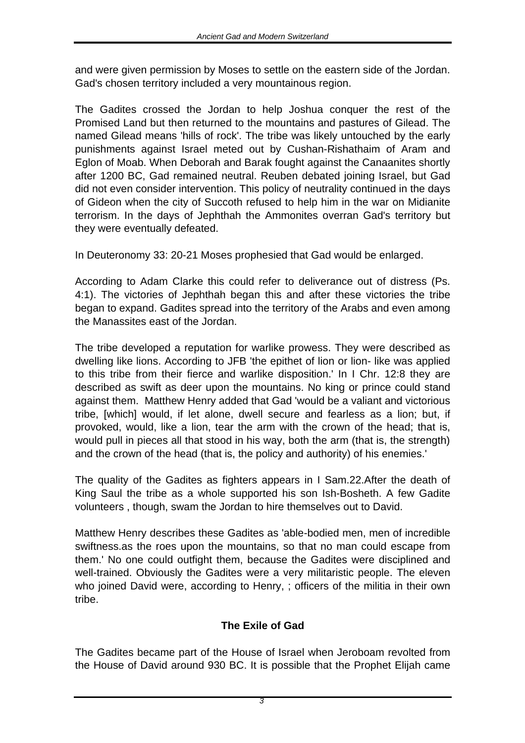and were given permission by Moses to settle on the eastern side of the Jordan. Gad's chosen territory included a very mountainous region.

The Gadites crossed the Jordan to help Joshua conquer the rest of the Promised Land but then returned to the mountains and pastures of Gilead. The named Gilead means 'hills of rock'. The tribe was likely untouched by the early punishments against Israel meted out by Cushan-Rishathaim of Aram and Eglon of Moab. When Deborah and Barak fought against the Canaanites shortly after 1200 BC, Gad remained neutral. Reuben debated joining Israel, but Gad did not even consider intervention. This policy of neutrality continued in the days of Gideon when the city of Succoth refused to help him in the war on Midianite terrorism. In the days of Jephthah the Ammonites overran Gad's territory but they were eventually defeated.

In Deuteronomy 33: 20-21 Moses prophesied that Gad would be enlarged.

According to Adam Clarke this could refer to deliverance out of distress (Ps. 4:1). The victories of Jephthah began this and after these victories the tribe began to expand. Gadites spread into the territory of the Arabs and even among the Manassites east of the Jordan.

The tribe developed a reputation for warlike prowess. They were described as dwelling like lions. According to JFB 'the epithet of lion or lion- like was applied to this tribe from their fierce and warlike disposition.' In I Chr. 12:8 they are described as swift as deer upon the mountains. No king or prince could stand against them. Matthew Henry added that Gad 'would be a valiant and victorious tribe, [which] would, if let alone, dwell secure and fearless as a lion; but, if provoked, would, like a lion, tear the arm with the crown of the head; that is, would pull in pieces all that stood in his way, both the arm (that is, the strength) and the crown of the head (that is, the policy and authority) of his enemies.'

The quality of the Gadites as fighters appears in I Sam.22.After the death of King Saul the tribe as a whole supported his son Ish-Bosheth. A few Gadite volunteers , though, swam the Jordan to hire themselves out to David.

Matthew Henry describes these Gadites as 'able-bodied men, men of incredible swiftness.as the roes upon the mountains, so that no man could escape from them.' No one could outfight them, because the Gadites were disciplined and well-trained. Obviously the Gadites were a very militaristic people. The eleven who joined David were, according to Henry, ; officers of the militia in their own tribe.

## **The Exile of Gad**

The Gadites became part of the House of Israel when Jeroboam revolted from the House of David around 930 BC. It is possible that the Prophet Elijah came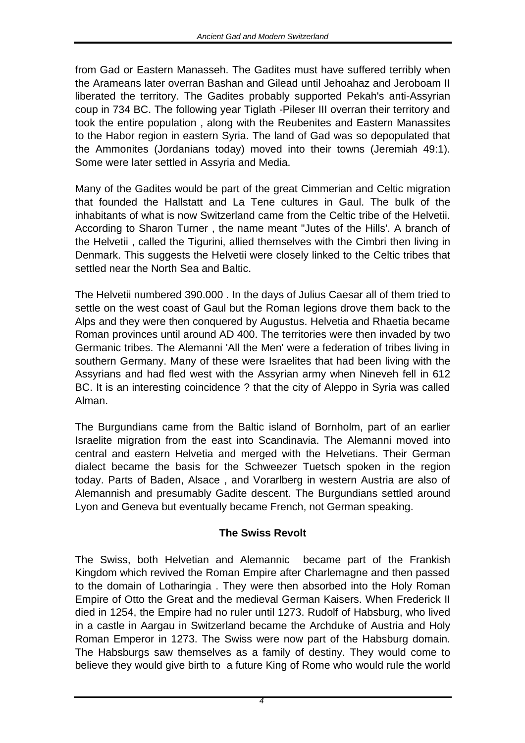from Gad or Eastern Manasseh. The Gadites must have suffered terribly when the Arameans later overran Bashan and Gilead until Jehoahaz and Jeroboam II liberated the territory. The Gadites probably supported Pekah's anti-Assyrian coup in 734 BC. The following year Tiglath -Pileser III overran their territory and took the entire population , along with the Reubenites and Eastern Manassites to the Habor region in eastern Syria. The land of Gad was so depopulated that the Ammonites (Jordanians today) moved into their towns (Jeremiah 49:1). Some were later settled in Assyria and Media.

Many of the Gadites would be part of the great Cimmerian and Celtic migration that founded the Hallstatt and La Tene cultures in Gaul. The bulk of the inhabitants of what is now Switzerland came from the Celtic tribe of the Helvetii. According to Sharon Turner , the name meant "Jutes of the Hills'. A branch of the Helvetii , called the Tigurini, allied themselves with the Cimbri then living in Denmark. This suggests the Helvetii were closely linked to the Celtic tribes that settled near the North Sea and Baltic.

The Helvetii numbered 390.000 . In the days of Julius Caesar all of them tried to settle on the west coast of Gaul but the Roman legions drove them back to the Alps and they were then conquered by Augustus. Helvetia and Rhaetia became Roman provinces until around AD 400. The territories were then invaded by two Germanic tribes. The Alemanni 'All the Men' were a federation of tribes living in southern Germany. Many of these were Israelites that had been living with the Assyrians and had fled west with the Assyrian army when Nineveh fell in 612 BC. It is an interesting coincidence ? that the city of Aleppo in Syria was called Alman.

The Burgundians came from the Baltic island of Bornholm, part of an earlier Israelite migration from the east into Scandinavia. The Alemanni moved into central and eastern Helvetia and merged with the Helvetians. Their German dialect became the basis for the Schweezer Tuetsch spoken in the region today. Parts of Baden, Alsace , and Vorarlberg in western Austria are also of Alemannish and presumably Gadite descent. The Burgundians settled around Lyon and Geneva but eventually became French, not German speaking.

## **The Swiss Revolt**

The Swiss, both Helvetian and Alemannic became part of the Frankish Kingdom which revived the Roman Empire after Charlemagne and then passed to the domain of Lotharingia . They were then absorbed into the Holy Roman Empire of Otto the Great and the medieval German Kaisers. When Frederick II died in 1254, the Empire had no ruler until 1273. Rudolf of Habsburg, who lived in a castle in Aargau in Switzerland became the Archduke of Austria and Holy Roman Emperor in 1273. The Swiss were now part of the Habsburg domain. The Habsburgs saw themselves as a family of destiny. They would come to believe they would give birth to a future King of Rome who would rule the world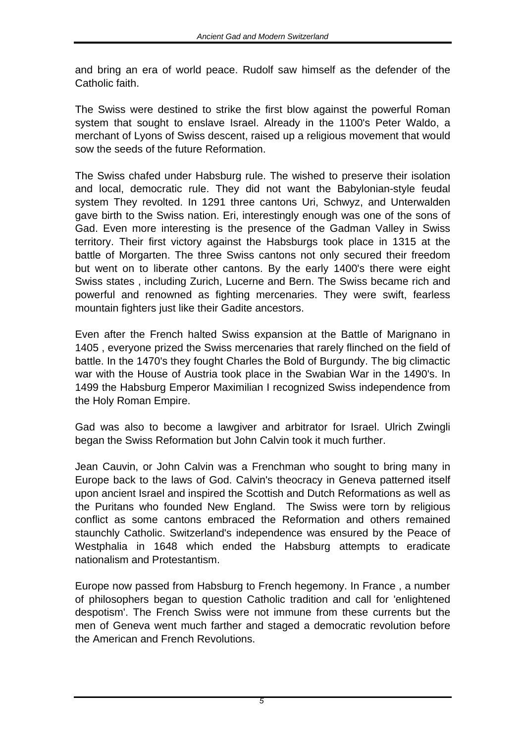and bring an era of world peace. Rudolf saw himself as the defender of the Catholic faith.

The Swiss were destined to strike the first blow against the powerful Roman system that sought to enslave Israel. Already in the 1100's Peter Waldo, a merchant of Lyons of Swiss descent, raised up a religious movement that would sow the seeds of the future Reformation.

The Swiss chafed under Habsburg rule. The wished to preserve their isolation and local, democratic rule. They did not want the Babylonian-style feudal system They revolted. In 1291 three cantons Uri, Schwyz, and Unterwalden gave birth to the Swiss nation. Eri, interestingly enough was one of the sons of Gad. Even more interesting is the presence of the Gadman Valley in Swiss territory. Their first victory against the Habsburgs took place in 1315 at the battle of Morgarten. The three Swiss cantons not only secured their freedom but went on to liberate other cantons. By the early 1400's there were eight Swiss states , including Zurich, Lucerne and Bern. The Swiss became rich and powerful and renowned as fighting mercenaries. They were swift, fearless mountain fighters just like their Gadite ancestors.

Even after the French halted Swiss expansion at the Battle of Marignano in 1405 , everyone prized the Swiss mercenaries that rarely flinched on the field of battle. In the 1470's they fought Charles the Bold of Burgundy. The big climactic war with the House of Austria took place in the Swabian War in the 1490's. In 1499 the Habsburg Emperor Maximilian I recognized Swiss independence from the Holy Roman Empire.

Gad was also to become a lawgiver and arbitrator for Israel. Ulrich Zwingli began the Swiss Reformation but John Calvin took it much further.

Jean Cauvin, or John Calvin was a Frenchman who sought to bring many in Europe back to the laws of God. Calvin's theocracy in Geneva patterned itself upon ancient Israel and inspired the Scottish and Dutch Reformations as well as the Puritans who founded New England. The Swiss were torn by religious conflict as some cantons embraced the Reformation and others remained staunchly Catholic. Switzerland's independence was ensured by the Peace of Westphalia in 1648 which ended the Habsburg attempts to eradicate nationalism and Protestantism.

Europe now passed from Habsburg to French hegemony. In France , a number of philosophers began to question Catholic tradition and call for 'enlightened despotism'. The French Swiss were not immune from these currents but the men of Geneva went much farther and staged a democratic revolution before the American and French Revolutions.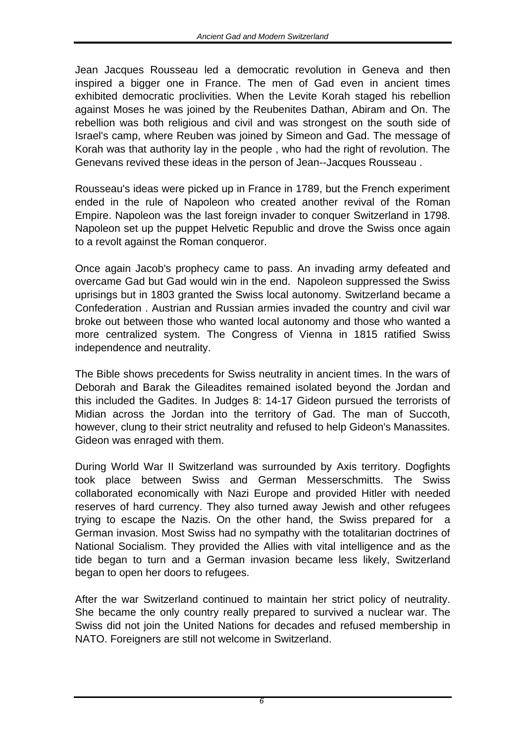Jean Jacques Rousseau led a democratic revolution in Geneva and then inspired a bigger one in France. The men of Gad even in ancient times exhibited democratic proclivities. When the Levite Korah staged his rebellion against Moses he was joined by the Reubenites Dathan, Abiram and On. The rebellion was both religious and civil and was strongest on the south side of Israel's camp, where Reuben was joined by Simeon and Gad. The message of Korah was that authority lay in the people , who had the right of revolution. The Genevans revived these ideas in the person of Jean--Jacques Rousseau .

Rousseau's ideas were picked up in France in 1789, but the French experiment ended in the rule of Napoleon who created another revival of the Roman Empire. Napoleon was the last foreign invader to conquer Switzerland in 1798. Napoleon set up the puppet Helvetic Republic and drove the Swiss once again to a revolt against the Roman conqueror.

Once again Jacob's prophecy came to pass. An invading army defeated and overcame Gad but Gad would win in the end. Napoleon suppressed the Swiss uprisings but in 1803 granted the Swiss local autonomy. Switzerland became a Confederation . Austrian and Russian armies invaded the country and civil war broke out between those who wanted local autonomy and those who wanted a more centralized system. The Congress of Vienna in 1815 ratified Swiss independence and neutrality.

The Bible shows precedents for Swiss neutrality in ancient times. In the wars of Deborah and Barak the Gileadites remained isolated beyond the Jordan and this included the Gadites. In Judges 8: 14-17 Gideon pursued the terrorists of Midian across the Jordan into the territory of Gad. The man of Succoth, however, clung to their strict neutrality and refused to help Gideon's Manassites. Gideon was enraged with them.

During World War II Switzerland was surrounded by Axis territory. Dogfights took place between Swiss and German Messerschmitts. The Swiss collaborated economically with Nazi Europe and provided Hitler with needed reserves of hard currency. They also turned away Jewish and other refugees trying to escape the Nazis. On the other hand, the Swiss prepared for a German invasion. Most Swiss had no sympathy with the totalitarian doctrines of National Socialism. They provided the Allies with vital intelligence and as the tide began to turn and a German invasion became less likely, Switzerland began to open her doors to refugees.

After the war Switzerland continued to maintain her strict policy of neutrality. She became the only country really prepared to survived a nuclear war. The Swiss did not join the United Nations for decades and refused membership in NATO. Foreigners are still not welcome in Switzerland.